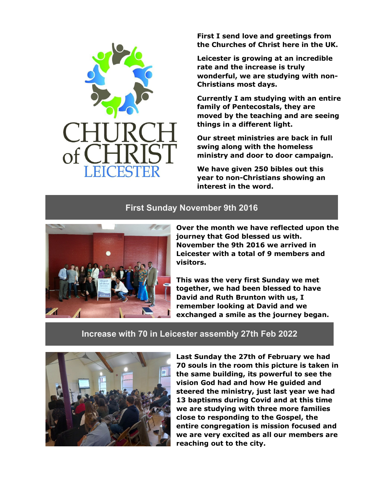**First I send love and greetings from the Churches of Christ here in the UK.**

**Leicester is growing at an incredible rate and the increase is truly wonderful, we are studying with non-Christians most days.**

**Currently I am studying with an entire family of Pentecostals, they are moved by the teaching and are seeing things in a different light.**

**Our street ministries are back in full swing along with the homeless ministry and door to door campaign.**

**We have given 250 bibles out this year to non-Christians showing an interest in the word.**

## **First Sunday November 9th 2016**



**Over the month we have reflected upon the journey that God blessed us with. November the 9th 2016 we arrived in Leicester with a total of 9 members and visitors.**

**This was the very first Sunday we met together, we had been blessed to have David and Ruth Brunton with us, I remember looking at David and we exchanged a smile as the journey began.**

### **Increase with 70 in Leicester assembly 27th Feb 2022**



**Last Sunday the 27th of February we had 70 souls in the room this picture is taken in the same building, its powerful to see the vision God had and how He guided and steered the ministry, just last year we had 13 baptisms during Covid and at this time we are studying with three more families close to responding to the Gospel, the entire congregation is mission focused and we are very excited as all our members are reaching out to the city.**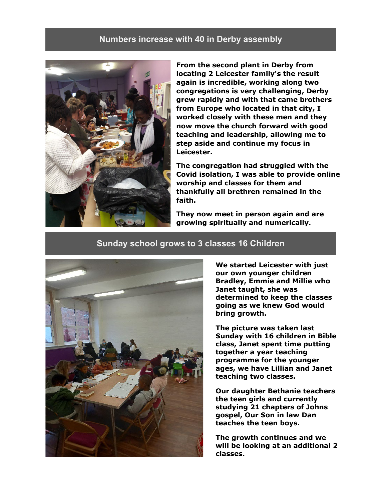### **Numbers increase with 40 in Derby assembly**



**From the second plant in Derby from locating 2 Leicester family's the result again is incredible, working along two congregations is very challenging, Derby grew rapidly and with that came brothers from Europe who located in that city, I worked closely with these men and they now move the church forward with good teaching and leadership, allowing me to step aside and continue my focus in Leicester.**

**The congregation had struggled with the Covid isolation, I was able to provide online worship and classes for them and thankfully all brethren remained in the faith.**

**They now meet in person again and are growing spiritually and numerically.**

#### **Sunday school grows to 3 classes 16 Children**



**We started Leicester with just our own younger children Bradley, Emmie and Millie who Janet taught, she was determined to keep the classes going as we knew God would bring growth.**

**The picture was taken last Sunday with 16 children in Bible class, Janet spent time putting together a year teaching programme for the younger ages, we have Lillian and Janet teaching two classes.**

**Our daughter Bethanie teachers the teen girls and currently studying 21 chapters of Johns gospel, Our Son in law Dan teaches the teen boys.**

**The growth continues and we will be looking at an additional 2 classes.**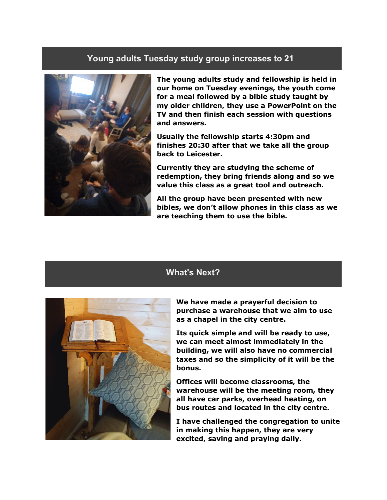#### **Young adults Tuesday study group increases to 21**



**The young adults study and fellowship is held in our home on Tuesday evenings, the youth come for a meal followed by a bible study taught by my older children, they use a PowerPoint on the TV and then finish each session with questions and answers.**

**Usually the fellowship starts 4:30pm and finishes 20:30 after that we take all the group back to Leicester.**

**Currently they are studying the scheme of redemption, they bring friends along and so we value this class as a great tool and outreach.**

**All the group have been presented with new bibles, we don't allow phones in this class as we are teaching them to use the bible.**

## **What's Next?**



**We have made a prayerful decision to purchase a warehouse that we aim to use as a chapel in the city centre.**

**Its quick simple and will be ready to use, we can meet almost immediately in the building, we will also have no commercial taxes and so the simplicity of it will be the bonus.**

**Offices will become classrooms, the warehouse will be the meeting room, they all have car parks, overhead heating, on bus routes and located in the city centre.**

**I have challenged the congregation to unite in making this happen, they are very excited, saving and praying daily.**